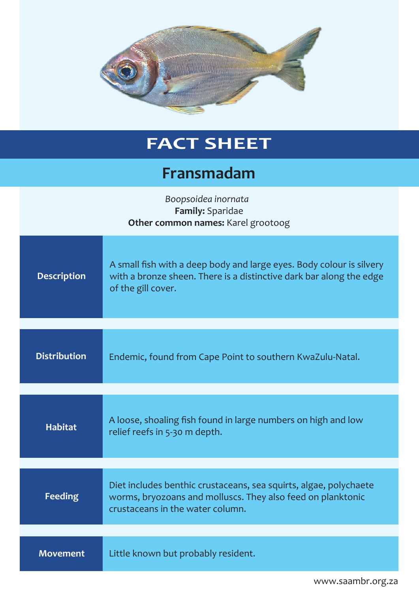

## **FACT SHEET**

## **Fransmadam**

| Boopsoidea inornata<br>Family: Sparidae<br>Other common names: Karel grootoog |                                                                                                                                                                      |  |
|-------------------------------------------------------------------------------|----------------------------------------------------------------------------------------------------------------------------------------------------------------------|--|
| <b>Description</b>                                                            | A small fish with a deep body and large eyes. Body colour is silvery<br>with a bronze sheen. There is a distinctive dark bar along the edge<br>of the gill cover.    |  |
| <b>Distribution</b>                                                           | Endemic, found from Cape Point to southern KwaZulu-Natal.                                                                                                            |  |
| <b>Habitat</b>                                                                | A loose, shoaling fish found in large numbers on high and low<br>relief reefs in 5-30 m depth.                                                                       |  |
|                                                                               |                                                                                                                                                                      |  |
| <b>Feeding</b>                                                                | Diet includes benthic crustaceans, sea squirts, algae, polychaete<br>worms, bryozoans and molluscs. They also feed on planktonic<br>crustaceans in the water column. |  |
|                                                                               |                                                                                                                                                                      |  |
| <b>Movement</b>                                                               | Little known but probably resident.                                                                                                                                  |  |

www.saambr.org.za